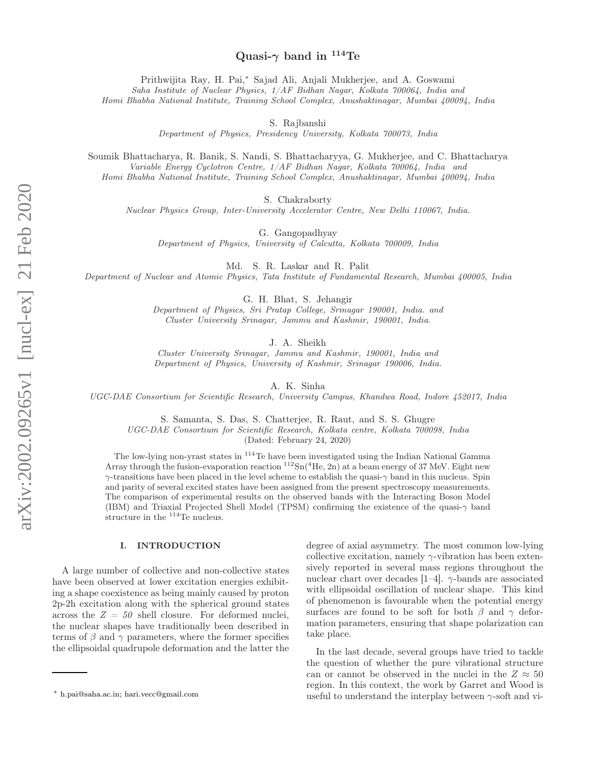# Quasi- $\gamma$  band in <sup>114</sup>Te

Prithwijita Ray, H. Pai,<sup>∗</sup> Sajad Ali, Anjali Mukherjee, and A. Goswami Saha Institute of Nuclear Physics, 1/AF Bidhan Nagar, Kolkata 700064, India and

Homi Bhabha National Institute, Training School Complex, Anushaktinagar, Mumbai 400094, India

S. Rajbanshi

Department of Physics, Presidency University, Kolkata 700073, India

Soumik Bhattacharya, R. Banik, S. Nandi, S. Bhattacharyya, G. Mukherjee, and C. Bhattacharya Variable Energy Cyclotron Centre, 1/AF Bidhan Nagar, Kolkata 700064, India and Homi Bhabha National Institute, Training School Complex, Anushaktinagar, Mumbai 400094, India

S. Chakraborty

Nuclear Physics Group, Inter-University Accelerator Centre, New Delhi 110067, India.

G. Gangopadhyay

Department of Physics, University of Calcutta, Kolkata 700009, India

Md. S. R. Laskar and R. Palit

Department of Nuclear and Atomic Physics, Tata Institute of Fundamental Research, Mumbai 400005, India

G. H. Bhat, S. Jehangir

Department of Physics, Sri Pratap College, Srinagar 190001, India. and Cluster University Srinagar, Jammu and Kashmir, 190001, India.

J. A. Sheikh

Cluster University Srinagar, Jammu and Kashmir, 190001, India and Department of Physics, University of Kashmir, Srinagar 190006, India.

A. K. Sinha

UGC-DAE Consortium for Scientific Research, University Campus, Khandwa Road, Indore 452017, India

S. Samanta, S. Das, S. Chatterjee, R. Raut, and S. S. Ghugre UGC-DAE Consortium for Scientific Research, Kolkata centre, Kolkata 700098, India (Dated: February 24, 2020)

The low-lying non-yrast states in <sup>114</sup>Te have been investigated using the Indian National Gamma Array through the fusion-evaporation reaction  ${}^{112}Sn({}^4He, 2n)$  at a beam energy of 37 MeV. Eight new γ-transitions have been placed in the level scheme to establish the quasi-γ band in this nucleus. Spin and parity of several excited states have been assigned from the present spectroscopy measurements. The comparison of experimental results on the observed bands with the Interacting Boson Model (IBM) and Triaxial Projected Shell Model (TPSM) confirming the existence of the quasi- $\gamma$  band structure in the <sup>114</sup>Te nucleus.

### I. INTRODUCTION

A large number of collective and non-collective states have been observed at lower excitation energies exhibiting a shape coexistence as being mainly caused by proton 2p-2h excitation along with the spherical ground states across the  $Z = 50$  shell closure. For deformed nuclei, the nuclear shapes have traditionally been described in terms of  $\beta$  and  $\gamma$  parameters, where the former specifies the ellipsoidal quadrupole deformation and the latter the degree of axial asymmetry. The most common low-lying collective excitation, namely  $\gamma$ -vibration has been extensively reported in several mass regions throughout the nuclear chart over decades [1–4].  $\gamma$ -bands are associated with ellipsoidal oscillation of nuclear shape. This kind of phenomenon is favourable when the potential energy surfaces are found to be soft for both  $\beta$  and  $\gamma$  deformation parameters, ensuring that shape polarization can take place.

In the last decade, several groups have tried to tackle the question of whether the pure vibrational structure can or cannot be observed in the nuclei in the  $Z \approx 50$ region. In this context, the work by Garret and Wood is useful to understand the interplay between  $\gamma$ -soft and vi-

<sup>∗</sup> h.pai@saha.ac.in; hari.vecc@gmail.com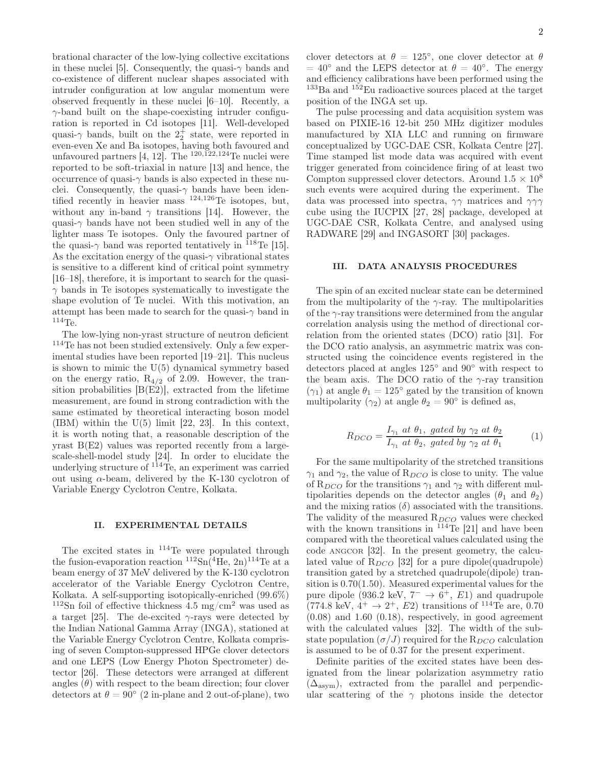brational character of the low-lying collective excitations in these nuclei [5]. Consequently, the quasi- $\gamma$  bands and co-existence of different nuclear shapes associated with intruder configuration at low angular momentum were observed frequently in these nuclei [6–10]. Recently, a  $\gamma$ -band built on the shape-coexisting intruder configuration is reported in Cd isotopes [11]. Well-developed quasi- $\gamma$  bands, built on the  $2^+_2$  state, were reported in even-even Xe and Ba isotopes, having both favoured and unfavoured partners  $[4, 12]$ . The  $^{120,122,124}$  Te nuclei were reported to be soft-triaxial in nature [13] and hence, the occurrence of quasi- $\gamma$  bands is also expected in these nuclei. Consequently, the quasi- $\gamma$  bands have been identified recently in heavier mass  $^{124,126}$ Te isotopes, but, without any in-band  $\gamma$  transitions [14]. However, the quasi- $\gamma$  bands have not been studied well in any of the lighter mass Te isotopes. Only the favoured partner of the quasi- $\gamma$  band was reported tentatively in <sup>118</sup>Te [15]. As the excitation energy of the quasi- $\gamma$  vibrational states is sensitive to a different kind of critical point symmetry [16–18], therefore, it is important to search for the quasi- $\gamma$  bands in Te isotopes systematically to investigate the shape evolution of Te nuclei. With this motivation, an attempt has been made to search for the quasi- $\gamma$  band in  $114T_{\rm P}$ 

The low-lying non-yrast structure of neutron deficient <sup>114</sup>Te has not been studied extensively. Only a few experimental studies have been reported [19–21]. This nucleus is shown to mimic the  $U(5)$  dynamical symmetry based on the energy ratio,  $R_{4/2}$  of 2.09. However, the transition probabilities [B(E2)], extracted from the lifetime measurement, are found in strong contradiction with the same estimated by theoretical interacting boson model  $(IBM)$  within the  $U(5)$  limit [22, 23]. In this context, it is worth noting that, a reasonable description of the yrast B(E2) values was reported recently from a largescale-shell-model study [24]. In order to elucidate the underlying structure of  $^{114}$ Te, an experiment was carried out using  $\alpha$ -beam, delivered by the K-130 cyclotron of Variable Energy Cyclotron Centre, Kolkata.

# II. EXPERIMENTAL DETAILS

The excited states in <sup>114</sup>Te were populated through the fusion-evaporation reaction  ${}^{112}Sn({}^{4}He, 2n){}^{114}Te$  at a beam energy of 37 MeV delivered by the K-130 cyclotron accelerator of the Variable Energy Cyclotron Centre, Kolkata. A self-supporting isotopically-enriched (99.6%) <sup>112</sup>Sn foil of effective thickness 4.5 mg/cm<sup>2</sup> was used as a target [25]. The de-excited  $\gamma$ -rays were detected by the Indian National Gamma Array (INGA), stationed at the Variable Energy Cyclotron Centre, Kolkata comprising of seven Compton-suppressed HPGe clover detectors and one LEPS (Low Energy Photon Spectrometer) detector [26]. These detectors were arranged at different angles  $(\theta)$  with respect to the beam direction; four clover detectors at  $\theta = 90^{\circ}$  (2 in-plane and 2 out-of-plane), two

clover detectors at  $\theta = 125^{\circ}$ , one clover detector at  $\theta$  $= 40^{\circ}$  and the LEPS detector at  $\theta = 40^{\circ}$ . The energy and efficiency calibrations have been performed using the  $133Ba$  and  $152Eu$  radioactive sources placed at the target position of the INGA set up.

The pulse processing and data acquisition system was based on PIXIE-16 12-bit 250 MHz digitizer modules manufactured by XIA LLC and running on firmware conceptualized by UGC-DAE CSR, Kolkata Centre [27]. Time stamped list mode data was acquired with event trigger generated from coincidence firing of at least two Compton suppressed clover detectors. Around  $1.5 \times 10^8$ such events were acquired during the experiment. The data was processed into spectra,  $\gamma\gamma$  matrices and  $\gamma\gamma\gamma$ cube using the IUCPIX [27, 28] package, developed at UGC-DAE CSR, Kolkata Centre, and analysed using RADWARE [29] and INGASORT [30] packages.

# III. DATA ANALYSIS PROCEDURES

The spin of an excited nuclear state can be determined from the multipolarity of the  $\gamma$ -ray. The multipolarities of the  $\gamma$ -ray transitions were determined from the angular correlation analysis using the method of directional correlation from the oriented states (DCO) ratio [31]. For the DCO ratio analysis, an asymmetric matrix was constructed using the coincidence events registered in the detectors placed at angles 125◦ and 90◦ with respect to the beam axis. The DCO ratio of the  $\gamma$ -ray transition  $(\gamma_1)$  at angle  $\theta_1 = 125^\circ$  gated by the transition of known multipolarity  $(\gamma_2)$  at angle  $\theta_2 = 90^\circ$  is defined as,

$$
R_{DCO} = \frac{I_{\gamma_1} \ at \ \theta_1, \ gated \ by \ \gamma_2 \ at \ \theta_2}{I_{\gamma_1} \ at \ \theta_2, \ gated \ by \ \gamma_2 \ at \ \theta_1} \tag{1}
$$

For the same multipolarity of the stretched transitions  $\gamma_1$  and  $\gamma_2$ , the value of  $\mathcal{R}_{DCO}$  is close to unity. The value of  $R_{DCO}$  for the transitions  $\gamma_1$  and  $\gamma_2$  with different multipolarities depends on the detector angles ( $\theta_1$  and  $\theta_2$ ) and the mixing ratios  $(\delta)$  associated with the transitions. The validity of the measured  $R_{DCO}$  values were checked with the known transitions in  $^{114}$ Te [21] and have been compared with the theoretical values calculated using the code ANGCOR [32]. In the present geometry, the calculated value of  $R_{DCO}$  [32] for a pure dipole(quadrupole) transition gated by a stretched quadrupole(dipole) transition is 0.70(1.50). Measured experimental values for the pure dipole (936.2 keV,  $7^- \rightarrow 6^+$ , E1) and quadrupole  $(774.8 \text{ keV}, 4^+ \rightarrow 2^+, E2)$  transitions of <sup>114</sup>Te are, 0.70  $(0.08)$  and 1.60  $(0.18)$ , respectively, in good agreement with the calculated values [32]. The width of the substate population  $(\sigma/J)$  required for the  $R_{DCO}$  calculation is assumed to be of 0.37 for the present experiment.

Definite parities of the excited states have been designated from the linear polarization asymmetry ratio  $(\Delta_{\text{asym}})$ , extracted from the parallel and perpendicular scattering of the  $\gamma$  photons inside the detector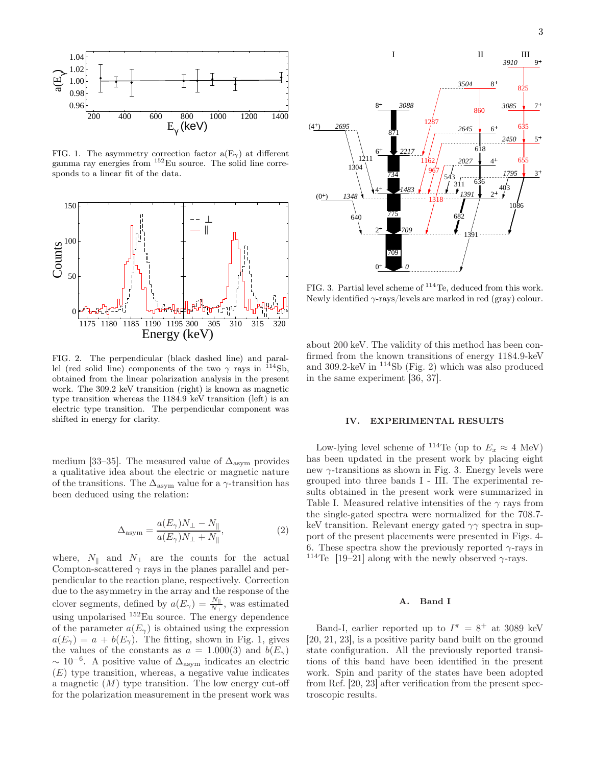

FIG. 1. The asymmetry correction factor  $a(E_{\gamma})$  at different gamma ray energies from <sup>152</sup>Eu source. The solid line corresponds to a linear fit of the data.



FIG. 2. The perpendicular (black dashed line) and parallel (red solid line) components of the two  $\gamma$  rays in <sup>114</sup>Sb, obtained from the linear polarization analysis in the present work. The 309.2 keV transition (right) is known as magnetic type transition whereas the 1184.9 keV transition (left) is an electric type transition. The perpendicular component was shifted in energy for clarity.

medium [33–35]. The measured value of  $\Delta_{\text{asvm}}$  provides a qualitative idea about the electric or magnetic nature of the transitions. The  $\Delta_{\text{asym}}$  value for a  $\gamma$ -transition has been deduced using the relation:

$$
\Delta_{\text{asym}} = \frac{a(E_{\gamma})N_{\perp} - N_{\parallel}}{a(E_{\gamma})N_{\perp} + N_{\parallel}},\tag{2}
$$

where,  $N_{\parallel}$  and  $N_{\perp}$  are the counts for the actual Compton-scattered  $\gamma$  rays in the planes parallel and perpendicular to the reaction plane, respectively. Correction due to the asymmetry in the array and the response of the clover segments, defined by  $a(E_{\gamma}) = \frac{N_{\parallel}}{N_{\perp}}$ , was estimated using unpolarised <sup>152</sup>Eu source. The energy dependence of the parameter  $a(E_{\gamma})$  is obtained using the expression  $a(E_{\gamma}) = a + b(E_{\gamma})$ . The fitting, shown in Fig. 1, gives the values of the constants as  $a = 1.000(3)$  and  $b(E_{\gamma})$  $\sim 10^{-6}$ . A positive value of  $\Delta_{\text{asym}}$  indicates an electric  $(E)$  type transition, whereas, a negative value indicates a magnetic  $(M)$  type transition. The low energy cut-off for the polarization measurement in the present work was



FIG. 3. Partial level scheme of <sup>114</sup>Te, deduced from this work. Newly identified  $\gamma$ -rays/levels are marked in red (gray) colour.

about 200 keV. The validity of this method has been confirmed from the known transitions of energy 1184.9-keV and 309.2-keV in <sup>114</sup>Sb (Fig. 2) which was also produced in the same experiment [36, 37].

### IV. EXPERIMENTAL RESULTS

Low-lying level scheme of <sup>114</sup>Te (up to  $E_x \approx 4$  MeV) has been updated in the present work by placing eight new  $\gamma$ -transitions as shown in Fig. 3. Energy levels were grouped into three bands I - III. The experimental results obtained in the present work were summarized in Table I. Measured relative intensities of the  $\gamma$  rays from the single-gated spectra were normalized for the 708.7 keV transition. Relevant energy gated  $\gamma\gamma$  spectra in support of the present placements were presented in Figs. 4- 6. These spectra show the previously reported  $\gamma$ -rays in <sup>114</sup>Te [19–21] along with the newly observed  $\gamma$ -rays.

### A. Band I

Band-I, earlier reported up to  $I^{\pi} = 8^+$  at 3089 keV [20, 21, 23], is a positive parity band built on the ground state configuration. All the previously reported transitions of this band have been identified in the present work. Spin and parity of the states have been adopted from Ref. [20, 23] after verification from the present spectroscopic results.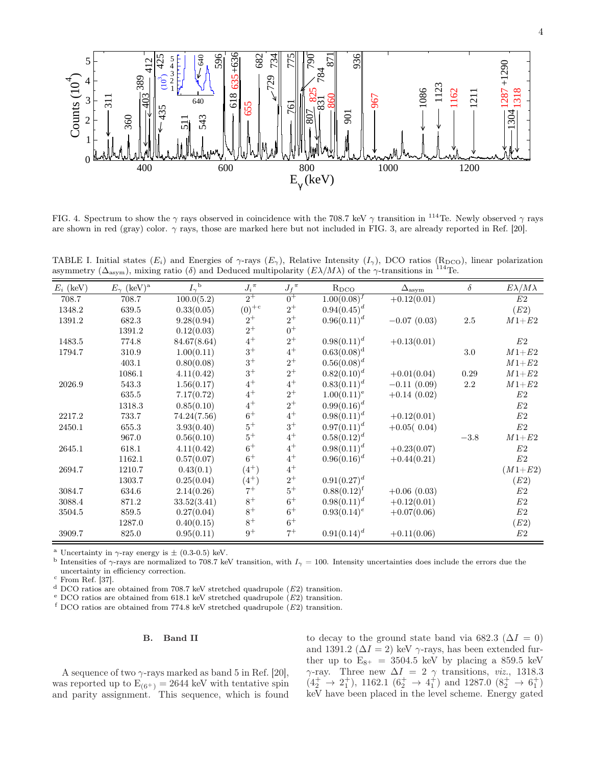

FIG. 4. Spectrum to show the  $\gamma$  rays observed in coincidence with the 708.7 keV  $\gamma$  transition in <sup>114</sup>Te. Newly observed  $\gamma$  rays are shown in red (gray) color.  $\gamma$  rays, those are marked here but not included in FIG. 3, are already reported in Ref. [20].

TABLE I. Initial states  $(E_i)$  and Energies of  $\gamma$ -rays  $(E_{\gamma})$ , Relative Intensity  $(I_{\gamma})$ , DCO ratios (R<sub>DCO</sub>), linear polarization asymmetry ( $\Delta_{\text{asym}}$ ), mixing ratio (δ) and Deduced multipolarity  $(E\lambda/M\lambda)$  of the  $\gamma$ -transitions in <sup>114</sup>Te.

| $E_i$ (keV) | $E_{\gamma}$ (keV) <sup>a</sup> | $I_{\gamma}^{\;\;\mathrm{b}}$ | ${J_i}^\pi$ | $J_f{}^{\pi}$ | $R_{DCO}$        | $\Delta_{\rm asym}$ | $\delta$ | $E\lambda/M\lambda$ |
|-------------|---------------------------------|-------------------------------|-------------|---------------|------------------|---------------------|----------|---------------------|
| 708.7       | 708.7                           | 100.0(5.2)                    | $2^+$       | $0^+$         | $1.00(0.08)^f$   | $+0.12(0.01)$       |          | E2                  |
| 1348.2      | 639.5                           | 0.33(0.05)                    | $(0)^{+c}$  | $2^+$         | $0.94(0.45)^{d}$ |                     |          | (E2)                |
| 1391.2      | 682.3                           | 9.28(0.94)                    | $2^+$       | $2^+$         | $0.96(0.11)^d$   | $-0.07(0.03)$       | $2.5\,$  | $M1 + E2$           |
|             | 1391.2                          | 0.12(0.03)                    | $2^+$       | $0^+$         |                  |                     |          |                     |
| 1483.5      | 774.8                           | 84.67(8.64)                   | $4^+$       | $2^+$         | $0.98(0.11)^d$   | $+0.13(0.01)$       |          | E2                  |
| 1794.7      | 310.9                           | 1.00(0.11)                    | $3^+$       | $4^+$         | $0.63(0.08)^d$   |                     | $3.0\,$  | $M1 + E2$           |
|             | 403.1                           | 0.80(0.08)                    | $3^+$       | $2^+$         | $0.56(0.08)^d$   |                     |          | $M1 + E2$           |
|             | 1086.1                          | 4.11(0.42)                    | $3^+$       | $2^+$         | $0.82(0.10)^d$   | $+0.01(0.04)$       | 0.29     | $M1 + E2$           |
| 2026.9      | 543.3                           | 1.56(0.17)                    | $4^+$       | $4^+$         | $0.83(0.11)^d$   | $-0.11(0.09)$       | $2.2\,$  | $M1 + E2$           |
|             | 635.5                           | 7.17(0.72)                    | $4^+$       | $2^+$         | $1.00(0.11)^e$   | $+0.14(0.02)$       |          | $\mathbb{E}2$       |
|             | 1318.3                          | 0.85(0.10)                    | $4^+$       | $2^+$         | $0.99(0.16)^d$   |                     |          | $\mathbb{E}2$       |
| 2217.2      | 733.7                           | 74.24(7.56)                   | $6+$        | $4^+$         | $0.98(0.11)^d$   | $+0.12(0.01)$       |          | E2                  |
| 2450.1      | 655.3                           | 3.93(0.40)                    | $5^+$       | $3^+$         | $0.97(0.11)^d$   | $+0.05(0.04)$       |          | $\mathbb{E}2$       |
|             | 967.0                           | 0.56(0.10)                    | $5^+$       | $4^+$         | $0.58(0.12)^{d}$ |                     | $-3.8$   | $M1 + E2$           |
| 2645.1      | 618.1                           | 4.11(0.42)                    | $6+$        | $4^+$         | $0.98(0.11)^d$   | $+0.23(0.07)$       |          | E2                  |
|             | 1162.1                          | 0.57(0.07)                    | $6+$        | $4^+$         | $0.96(0.16)^d$   | $+0.44(0.21)$       |          | $\mathbb{E}2$       |
| 2694.7      | 1210.7                          | 0.43(0.1)                     | $(4^{+})$   | $4^+$         |                  |                     |          | $(M1 + E2)$         |
|             | 1303.7                          | 0.25(0.04)                    | $(4^{+})$   | $2^+$         | $0.91(0.27)^d$   |                     |          | (E2)                |
| 3084.7      | 634.6                           | 2.14(0.26)                    | $7^+$       | $5^+$         | $0.88(0.12)^f$   | $+0.06(0.03)$       |          | E2                  |
| 3088.4      | 871.2                           | 33.52(3.41)                   | $8^+$       | $6+$          | $0.98(0.11)^d$   | $+0.12(0.01)$       |          | $\mathbb{E}2$       |
| 3504.5      | 859.5                           | 0.27(0.04)                    | $8^+$       | $6+$          | $0.93(0.14)^e$   | $+0.07(0.06)$       |          | $\mathbb{E}2$       |
|             | 1287.0                          | 0.40(0.15)                    | $8^+$       | $6+$          |                  |                     |          | (E2)                |
| 3909.7      | 825.0                           | 0.95(0.11)                    | $9^+$       | $7^+$         | $0.91(0.14)^d$   | $+0.11(0.06)$       |          | E2                  |

<sup>a</sup> Uncertainty in  $\gamma$ -ray energy is  $\pm$  (0.3-0.5) keV.

<sup>b</sup> Intensities of  $\gamma$ -rays are normalized to 708.7 keV transition, with  $I_{\gamma} = 100$ . Intensity uncertainties does include the errors due the uncertainty in efficiency correction.

 $c$  From Ref. [37].

<sup>d</sup> DCO ratios are obtained from 708.7 keV stretched quadrupole (E2) transition.

e DCO ratios are obtained from 618.1 keV stretched quadrupole  $(E2)$  transition.

 $f$  DCO ratios are obtained from 774.8 keV stretched quadrupole ( $E2$ ) transition.

# B. Band II

A sequence of two  $\gamma$ -rays marked as band 5 in Ref. [20], was reported up to  $E_{(6^+)} = 2644$  keV with tentative spin and parity assignment. This sequence, which is found

to decay to the ground state band via 682.3 ( $\Delta I = 0$ ) and 1391.2 ( $\Delta I = 2$ ) keV  $\gamma$ -rays, has been extended further up to  $E_{8+}$  = 3504.5 keV by placing a 859.5 keV  $\gamma$ -ray. Three new  $\Delta I = 2$   $\gamma$  transitions, *viz.*, 1318.3  $(4^+_2 \rightarrow 2^+_1), 1162.1 (6^+_2 \rightarrow 4^+_1)$  and 1287.0  $(8^+_2 \rightarrow 6^+_1)$ keV have been placed in the level scheme. Energy gated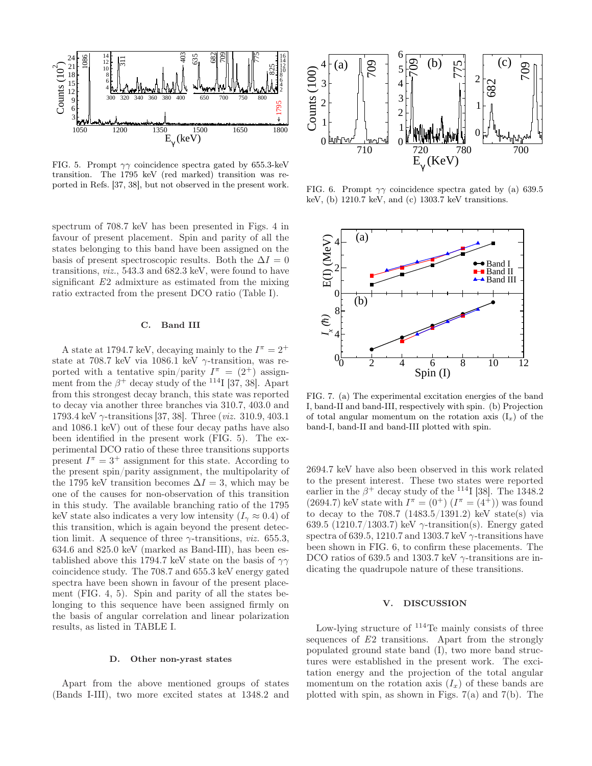

FIG. 5. Prompt  $\gamma\gamma$  coincidence spectra gated by 655.3-keV transition. The 1795 keV (red marked) transition was reported in Refs. [37, 38], but not observed in the present work.

spectrum of 708.7 keV has been presented in Figs. 4 in favour of present placement. Spin and parity of all the states belonging to this band have been assigned on the basis of present spectroscopic results. Both the  $\Delta I = 0$ transitions, viz., 543.3 and 682.3 keV, were found to have significant E2 admixture as estimated from the mixing ratio extracted from the present DCO ratio (Table I).

# C. Band III

A state at 1794.7 keV, decaying mainly to the  $I^{\pi} = 2^{+}$ state at 708.7 keV via 1086.1 keV  $\gamma$ -transition, was reported with a tentative spin/parity  $I^{\pi} = (2^+)$  assignment from the  $\beta^+$  decay study of the <sup>114</sup>I [37, 38]. Apart from this strongest decay branch, this state was reported to decay via another three branches via 310.7, 403.0 and 1793.4 keV γ-transitions [37, 38]. Three (viz. 310.9, 403.1 and 1086.1 keV) out of these four decay paths have also been identified in the present work (FIG. 5). The experimental DCO ratio of these three transitions supports present  $I^{\pi} = 3^+$  assignment for this state. According to the present spin/parity assignment, the multipolarity of the 1795 keV transition becomes  $\Delta I = 3$ , which may be one of the causes for non-observation of this transition in this study. The available branching ratio of the 1795 keV state also indicates a very low intensity  $(I_{\gamma} \approx 0.4)$  of this transition, which is again beyond the present detection limit. A sequence of three  $\gamma$ -transitions, *viz.* 655.3, 634.6 and 825.0 keV (marked as Band-III), has been established above this 1794.7 keV state on the basis of  $\gamma\gamma$ coincidence study. The 708.7 and 655.3 keV energy gated spectra have been shown in favour of the present placement (FIG. 4, 5). Spin and parity of all the states belonging to this sequence have been assigned firmly on the basis of angular correlation and linear polarization results, as listed in TABLE I.

## D. Other non-yrast states

Apart from the above mentioned groups of states (Bands I-III), two more excited states at 1348.2 and



FIG. 6. Prompt  $\gamma\gamma$  coincidence spectra gated by (a) 639.5 keV, (b) 1210.7 keV, and (c) 1303.7 keV transitions.



FIG. 7. (a) The experimental excitation energies of the band I, band-II and band-III, respectively with spin. (b) Projection of total angular momentum on the rotation axis  $(I_x)$  of the band-I, band-II and band-III plotted with spin.

2694.7 keV have also been observed in this work related to the present interest. These two states were reported earlier in the  $\beta^+$  decay study of the <sup>114</sup>I [38]. The 1348.2  $(2694.7)$  keV state with  $I^{\pi} = (0^+) (I^{\pi} = (4^{\frac{1}{1}}))$  was found to decay to the 708.7  $(1483.5/1391.2)$  keV state(s) via 639.5 (1210.7/1303.7) keV  $\gamma$ -transition(s). Energy gated spectra of 639.5, 1210.7 and 1303.7 keV  $\gamma$ -transitions have been shown in FIG. 6, to confirm these placements. The DCO ratios of 639.5 and 1303.7 keV  $\gamma$ -transitions are indicating the quadrupole nature of these transitions.

### V. DISCUSSION

Low-lying structure of  $114$ Te mainly consists of three sequences of E2 transitions. Apart from the strongly populated ground state band (I), two more band structures were established in the present work. The excitation energy and the projection of the total angular momentum on the rotation axis  $(I_x)$  of these bands are plotted with spin, as shown in Figs.  $7(a)$  and  $7(b)$ . The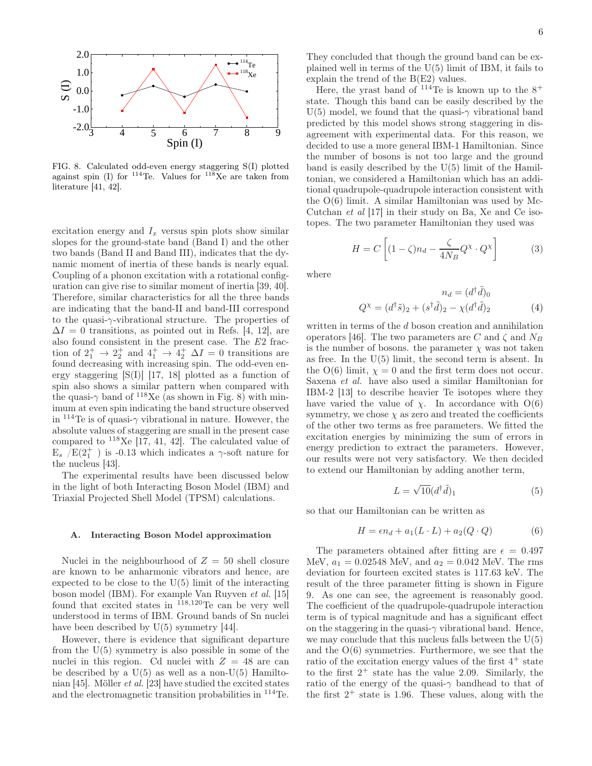

FIG. 8. Calculated odd-even energy staggering S(I) plotted against spin (I) for  $114$ Te. Values for  $118$ Xe are taken from literature [41, 42].

excitation energy and  $I_x$  versus spin plots show similar slopes for the ground-state band (Band I) and the other two bands (Band II and Band III), indicates that the dynamic moment of inertia of these bands is nearly equal. Coupling of a phonon excitation with a rotational configuration can give rise to similar moment of inertia [39, 40]. Therefore, similar characteristics for all the three bands are indicating that the band-II and band-III correspond to the quasi- $\gamma$ -vibrational structure. The properties of  $\Delta I = 0$  transitions, as pointed out in Refs. [4, 12], are also found consistent in the present case. The E2 fraction of  $2^+_1 \rightarrow 2^+_2$  and  $4^+_1 \rightarrow 4^+_2$   $\Delta I = 0$  transitions are found decreasing with increasing spin. The odd-even energy staggering  $[S(I)]$  [17, 18] plotted as a function of spin also shows a similar pattern when compared with the quasi- $\gamma$  band of <sup>118</sup>Xe (as shown in Fig. 8) with minimum at even spin indicating the band structure observed in  $114$ Te is of quasi- $\gamma$  vibrational in nature. However, the absolute values of staggering are small in the present case compared to  $^{118}$ Xe [17, 41, 42]. The calculated value of  $E_s$  /E(2<sup>+</sup><sub>1</sub>) is -0.13 which indicates a  $\gamma$ -soft nature for the nucleus [43].

The experimental results have been discussed below in the light of both Interacting Boson Model (IBM) and Triaxial Projected Shell Model (TPSM) calculations.

### A. Interacting Boson Model approximation

Nuclei in the neighbourhood of  $Z = 50$  shell closure are known to be anharmonic vibrators and hence, are expected to be close to the  $U(5)$  limit of the interacting boson model (IBM). For example Van Ruyven et al. [15] found that excited states in <sup>118</sup>,<sup>120</sup>Te can be very well understood in terms of IBM. Ground bands of Sn nuclei have been described by  $U(5)$  symmetry [44].

However, there is evidence that significant departure from the U(5) symmetry is also possible in some of the nuclei in this region. Cd nuclei with  $Z = 48$  are can be described by a  $U(5)$  as well as a non- $U(5)$  Hamiltonian [45]. Möller et al. [23] have studied the excited states and the electromagnetic transition probabilities in <sup>114</sup>Te.

They concluded that though the ground band can be explained well in terms of the U(5) limit of IBM, it fails to explain the trend of the B(E2) values.

Here, the yrast band of  $114$ Te is known up to the  $8^+$ state. Though this band can be easily described by the U(5) model, we found that the quasi- $\gamma$  vibrational band predicted by this model shows strong staggering in disagreement with experimental data. For this reason, we decided to use a more general IBM-1 Hamiltonian. Since the number of bosons is not too large and the ground band is easily described by the U(5) limit of the Hamiltonian, we considered a Hamiltonian which has an additional quadrupole-quadrupole interaction consistent with the  $O(6)$  limit. A similar Hamiltonian was used by Mc-Cutchan et al [17] in their study on Ba, Xe and Ce isotopes. The two parameter Hamiltonian they used was

$$
H = C \left[ (1 - \zeta)n_d - \frac{\zeta}{4N_B} Q^{\chi} \cdot Q^{\chi} \right]
$$
 (3)

where

$$
n_d = (d^{\dagger} \tilde{d})_0
$$
  

$$
Q^{\chi} = (d^{\dagger} \tilde{s})_2 + (s^{\dagger} \tilde{d})_2 - \chi (d^{\dagger} \tilde{d})_2
$$
 (4)

written in terms of the d boson creation and annihilation operators [46]. The two parameters are C and  $\zeta$  and  $N_B$ is the number of bosons. the parameter  $\chi$  was not taken as free. In the U(5) limit, the second term is absent. In the  $O(6)$  limit,  $\chi = 0$  and the first term does not occur. Saxena et al. have also used a similar Hamiltonian for IBM-2 [13] to describe heavier Te isotopes where they have varied the value of  $\chi$ . In accordance with  $O(6)$ symmetry, we chose  $\chi$  as zero and treated the coefficients of the other two terms as free parameters. We fitted the excitation energies by minimizing the sum of errors in energy prediction to extract the parameters. However, our results were not very satisfactory. We then decided to extend our Hamiltonian by adding another term,

$$
L = \sqrt{10} (d^{\dagger} \tilde{d})_1 \tag{5}
$$

so that our Hamiltonian can be written as

$$
H = \epsilon n_d + a_1 (L \cdot L) + a_2 (Q \cdot Q) \tag{6}
$$

The parameters obtained after fitting are  $\epsilon = 0.497$ MeV,  $a_1 = 0.02548$  MeV, and  $a_2 = 0.042$  MeV. The rms deviation for fourteen excited states is 117.63 keV. The result of the three parameter fitting is shown in Figure 9. As one can see, the agreement is reasonably good. The coefficient of the quadrupole-quadrupole interaction term is of typical magnitude and has a significant effect on the staggering in the quasi- $\gamma$  vibrational band. Hence, we may conclude that this nucleus falls between the  $U(5)$ and the  $O(6)$  symmetries. Furthermore, we see that the ratio of the excitation energy values of the first  $4^+$  state to the first  $2^+$  state has the value 2.09. Similarly, the ratio of the energy of the quasi- $\gamma$  bandhead to that of the first  $2^+$  state is 1.96. These values, along with the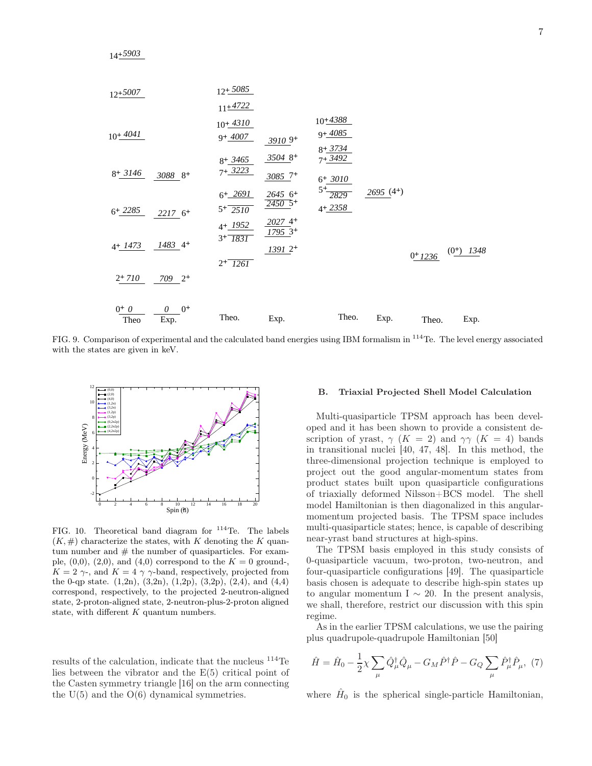

FIG. 9. Comparison of experimental and the calculated band energies using IBM formalism in <sup>114</sup>Te. The level energy associated with the states are given in keV.



FIG. 10. Theoretical band diagram for  $114$ Te. The labels  $(K, \#)$  characterize the states, with K denoting the K quantum number and  $#$  the number of quasiparticles. For example,  $(0,0)$ ,  $(2,0)$ , and  $(4,0)$  correspond to the  $K = 0$  ground- $K = 2 \gamma$ , and  $K = 4 \gamma \gamma$ -band, respectively, projected from the 0-qp state.  $(1,2n)$ ,  $(3,2n)$ ,  $(1,2p)$ ,  $(3,2p)$ ,  $(2,4)$ , and  $(4,4)$ correspond, respectively, to the projected 2-neutron-aligned state, 2-proton-aligned state, 2-neutron-plus-2-proton aligned state, with different  $K$  quantum numbers.

results of the calculation, indicate that the nucleus <sup>114</sup>Te lies between the vibrator and the E(5) critical point of the Casten symmetry triangle [16] on the arm connecting the  $U(5)$  and the  $O(6)$  dynamical symmetries.

### B. Triaxial Projected Shell Model Calculation

Multi-quasiparticle TPSM approach has been developed and it has been shown to provide a consistent description of yrast,  $\gamma$  (K = 2) and  $\gamma\gamma$  (K = 4) bands in transitional nuclei [40, 47, 48]. In this method, the three-dimensional projection technique is employed to project out the good angular-momentum states from product states built upon quasiparticle configurations of triaxially deformed Nilsson+BCS model. The shell model Hamiltonian is then diagonalized in this angularmomentum projected basis. The TPSM space includes multi-quasiparticle states; hence, is capable of describing near-yrast band structures at high-spins.

The TPSM basis employed in this study consists of 0-quasiparticle vacuum, two-proton, two-neutron, and four-quasiparticle configurations [49]. The quasiparticle basis chosen is adequate to describe high-spin states up to angular momentum I  $\sim$  20. In the present analysis, we shall, therefore, restrict our discussion with this spin regime.

As in the earlier TPSM calculations, we use the pairing plus quadrupole-quadrupole Hamiltonian [50]

$$
\hat{H} = \hat{H}_0 - \frac{1}{2}\chi \sum_{\mu} \hat{Q}^{\dagger}_{\mu} \hat{Q}_{\mu} - G_M \hat{P}^{\dagger} \hat{P} - G_Q \sum_{\mu} \hat{P}^{\dagger}_{\mu} \hat{P}_{\mu}, \tag{7}
$$

where  $\hat{H}_0$  is the spherical single-particle Hamiltonian,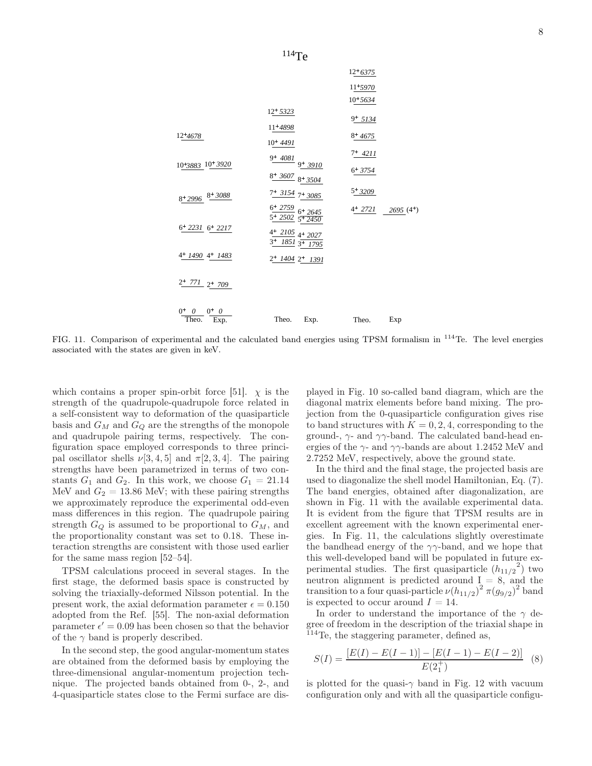

FIG. 11. Comparison of experimental and the calculated band energies using TPSM formalism in <sup>114</sup>Te. The level energies associated with the states are given in keV.

which contains a proper spin-orbit force [51].  $\chi$  is the strength of the quadrupole-quadrupole force related in a self-consistent way to deformation of the quasiparticle basis and  $G_M$  and  $G_Q$  are the strengths of the monopole and quadrupole pairing terms, respectively. The configuration space employed corresponds to three principal oscillator shells  $\nu[3, 4, 5]$  and  $\pi[2, 3, 4]$ . The pairing strengths have been parametrized in terms of two constants  $G_1$  and  $G_2$ . In this work, we choose  $G_1 = 21.14$ MeV and  $G_2 = 13.86$  MeV; with these pairing strengths we approximately reproduce the experimental odd-even mass differences in this region. The quadrupole pairing strength  $G_Q$  is assumed to be proportional to  $G_M$ , and the proportionality constant was set to 0.18. These interaction strengths are consistent with those used earlier for the same mass region [52–54].

TPSM calculations proceed in several stages. In the first stage, the deformed basis space is constructed by solving the triaxially-deformed Nilsson potential. In the present work, the axial deformation parameter  $\epsilon = 0.150$ adopted from the Ref. [55]. The non-axial deformation parameter  $\epsilon' = 0.09$  has been chosen so that the behavior of the  $\gamma$  band is properly described.

In the second step, the good angular-momentum states are obtained from the deformed basis by employing the three-dimensional angular-momentum projection technique. The projected bands obtained from 0-, 2-, and 4-quasiparticle states close to the Fermi surface are dis-

played in Fig. 10 so-called band diagram, which are the diagonal matrix elements before band mixing. The projection from the 0-quasiparticle configuration gives rise to band structures with  $K = 0, 2, 4$ , corresponding to the ground-,  $\gamma$ - and  $\gamma\gamma$ -band. The calculated band-head energies of the  $\gamma$ - and  $\gamma\gamma$ -bands are about 1.2452 MeV and 2.7252 MeV, respectively, above the ground state.

In the third and the final stage, the projected basis are used to diagonalize the shell model Hamiltonian, Eq. (7). The band energies, obtained after diagonalization, are shown in Fig. 11 with the available experimental data. It is evident from the figure that TPSM results are in excellent agreement with the known experimental energies. In Fig. 11, the calculations slightly overestimate the bandhead energy of the  $\gamma\gamma$ -band, and we hope that this well-developed band will be populated in future experimental studies. The first quasiparticle  $(h_{11/2}^2)$  two neutron alignment is predicted around  $I_{\alpha} = 8$ , and the transition to a four quasi-particle  $\nu(h_{11/2})^2 \pi(g_{9/2})^2$  band is expected to occur around  $I = 14$ .

In order to understand the importance of the  $\gamma$  degree of freedom in the description of the triaxial shape in  $114$ Te, the staggering parameter, defined as,

$$
S(I) = \frac{[E(I) - E(I-1)] - [E(I-1) - E(I-2)]}{E(2_1^+)} \tag{8}
$$

is plotted for the quasi- $\gamma$  band in Fig. 12 with vacuum configuration only and with all the quasiparticle configu-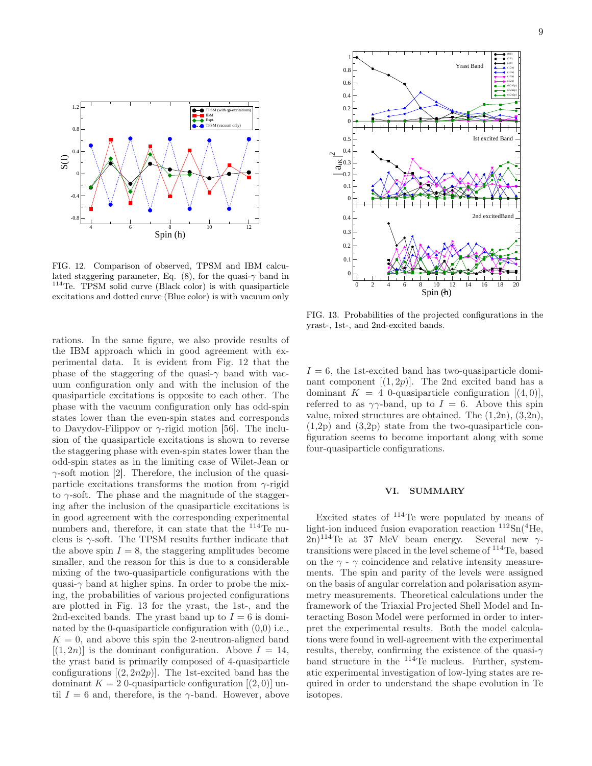

FIG. 12. Comparison of observed, TPSM and IBM calculated staggering parameter, Eq. (8), for the quasi- $\gamma$  band in <sup>114</sup>Te. TPSM solid curve (Black color) is with quasiparticle excitations and dotted curve (Blue color) is with vacuum only

rations. In the same figure, we also provide results of the IBM approach which in good agreement with experimental data. It is evident from Fig. 12 that the phase of the staggering of the quasi- $\gamma$  band with vacuum configuration only and with the inclusion of the quasiparticle excitations is opposite to each other. The phase with the vacuum configuration only has odd-spin states lower than the even-spin states and corresponds to Davydov-Filippov or  $\gamma$ -rigid motion [56]. The inclusion of the quasiparticle excitations is shown to reverse the staggering phase with even-spin states lower than the odd-spin states as in the limiting case of Wilet-Jean or  $\gamma$ -soft motion [2]. Therefore, the inclusion of the quasiparticle excitations transforms the motion from  $\gamma$ -rigid to  $\gamma$ -soft. The phase and the magnitude of the staggering after the inclusion of the quasiparticle excitations is in good agreement with the corresponding experimental numbers and, therefore, it can state that the <sup>114</sup>Te nucleus is  $\gamma$ -soft. The TPSM results further indicate that the above spin  $I = 8$ , the staggering amplitudes become smaller, and the reason for this is due to a considerable mixing of the two-quasiparticle configurations with the quasi- $\gamma$  band at higher spins. In order to probe the mixing, the probabilities of various projected configurations are plotted in Fig. 13 for the yrast, the 1st-, and the 2nd-excited bands. The yrast band up to  $I = 6$  is dominated by the 0-quasiparticle configuration with (0,0) i.e.,  $K = 0$ , and above this spin the 2-neutron-aligned band  $[(1, 2n)]$  is the dominant configuration. Above  $I = 14$ , the yrast band is primarily composed of 4-quasiparticle configurations  $[(2, 2n2p)]$ . The 1st-excited band has the dominant  $K = 2$  0-quasiparticle configuration  $[(2,0)]$  until  $I = 6$  and, therefore, is the  $\gamma$ -band. However, above



FIG. 13. Probabilities of the projected configurations in the yrast-, 1st-, and 2nd-excited bands.

 $I = 6$ , the 1st-excited band has two-quasiparticle dominant component  $[(1, 2p)]$ . The 2nd excited band has a dominant  $K = 4$  0-quasiparticle configuration  $[(4, 0)],$ referred to as  $\gamma\gamma$ -band, up to  $I = 6$ . Above this spin value, mixed structures are obtained. The (1,2n), (3,2n), (1,2p) and (3,2p) state from the two-quasiparticle configuration seems to become important along with some four-quasiparticle configurations.

## VI. SUMMARY

Excited states of <sup>114</sup>Te were populated by means of light-ion induced fusion evaporation reaction  ${}^{112}Sn({}^{4}He, )$  $2n)^{114}$ Te at 37 MeV beam energy. Several new  $\gamma$ transitions were placed in the level scheme of <sup>114</sup>Te, based on the  $\gamma$  -  $\gamma$  coincidence and relative intensity measurements. The spin and parity of the levels were assigned on the basis of angular correlation and polarisation asymmetry measurements. Theoretical calculations under the framework of the Triaxial Projected Shell Model and Interacting Boson Model were performed in order to interpret the experimental results. Both the model calculations were found in well-agreement with the experimental results, thereby, confirming the existence of the quasi- $\gamma$ band structure in the <sup>114</sup>Te nucleus. Further, systematic experimental investigation of low-lying states are required in order to understand the shape evolution in Te isotopes.